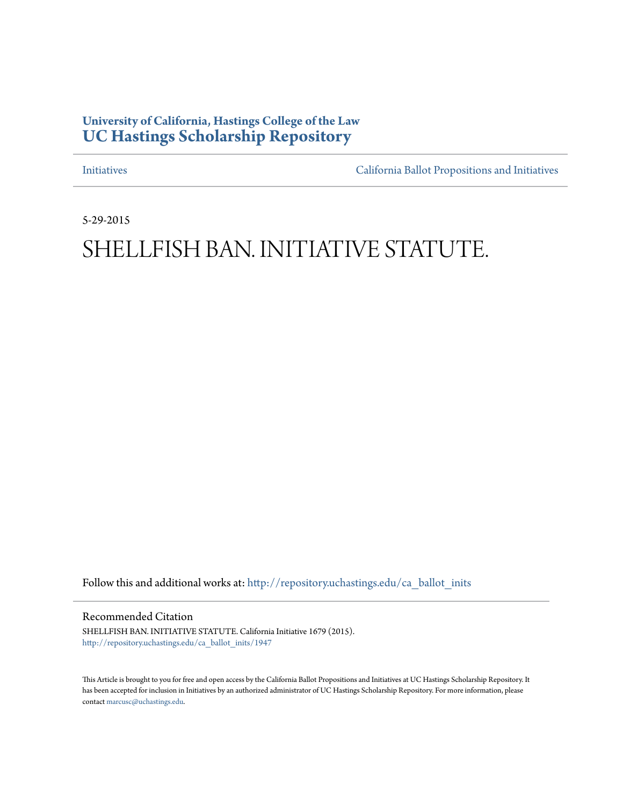## **University of California, Hastings College of the Law [UC Hastings Scholarship Repository](http://repository.uchastings.edu?utm_source=repository.uchastings.edu%2Fca_ballot_inits%2F1947&utm_medium=PDF&utm_campaign=PDFCoverPages)**

[Initiatives](http://repository.uchastings.edu/ca_ballot_inits?utm_source=repository.uchastings.edu%2Fca_ballot_inits%2F1947&utm_medium=PDF&utm_campaign=PDFCoverPages) [California Ballot Propositions and Initiatives](http://repository.uchastings.edu/ca_ballots?utm_source=repository.uchastings.edu%2Fca_ballot_inits%2F1947&utm_medium=PDF&utm_campaign=PDFCoverPages)

5-29-2015

## SHELLFISH BAN. INITIATIVE STATUTE.

Follow this and additional works at: [http://repository.uchastings.edu/ca\\_ballot\\_inits](http://repository.uchastings.edu/ca_ballot_inits?utm_source=repository.uchastings.edu%2Fca_ballot_inits%2F1947&utm_medium=PDF&utm_campaign=PDFCoverPages)

Recommended Citation

SHELLFISH BAN. INITIATIVE STATUTE. California Initiative 1679 (2015). [http://repository.uchastings.edu/ca\\_ballot\\_inits/1947](http://repository.uchastings.edu/ca_ballot_inits/1947?utm_source=repository.uchastings.edu%2Fca_ballot_inits%2F1947&utm_medium=PDF&utm_campaign=PDFCoverPages)

This Article is brought to you for free and open access by the California Ballot Propositions and Initiatives at UC Hastings Scholarship Repository. It has been accepted for inclusion in Initiatives by an authorized administrator of UC Hastings Scholarship Repository. For more information, please contact [marcusc@uchastings.edu](mailto:marcusc@uchastings.edu).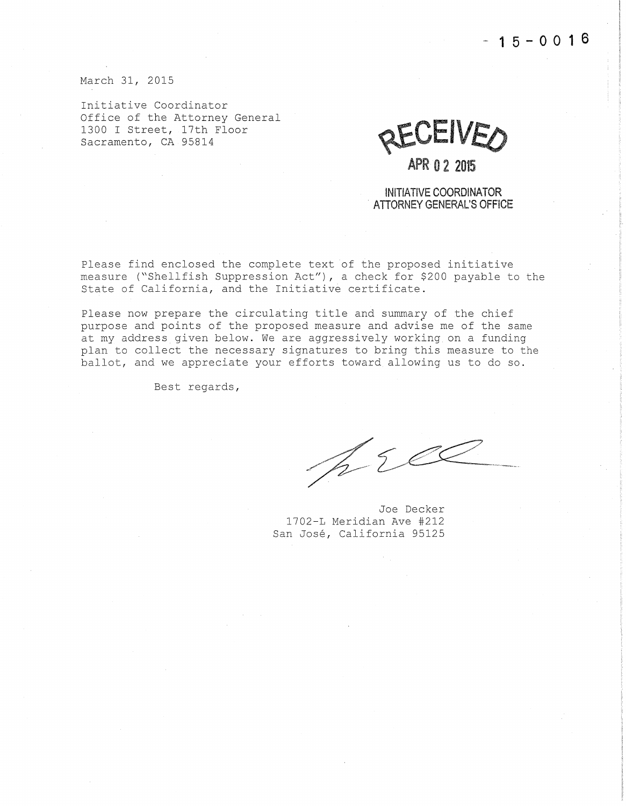**-15-0016** 

March 31, 2015

Initiative Coordinator Office of the Attorney General 1300 I Street, 17th Floor Sacramento, CA 95814

RECEIVEO

## **APR 0 2 2015**

INITIATIVE COORDINATOR . ATIORNEY GENERAL'S OFFICE

Please find enclosed the complete text of the proposed initiative measure ("Shellfish Suppression Act"), a check for \$200 payable to the State of California, and the Initiative certificate.

Please now prepare the circulating title and summary of the chief purpose and points of the proposed measure and advise me of the same at my address given below. We are aggressively working on a funding plan to collect the necessary signatures to bring this measure to the ballot, and we appreciate your efforts toward allowing us to do so.

Best regards,

prec

Joe Decker 1702-L Meridian Ave #212 San Jose, California 95125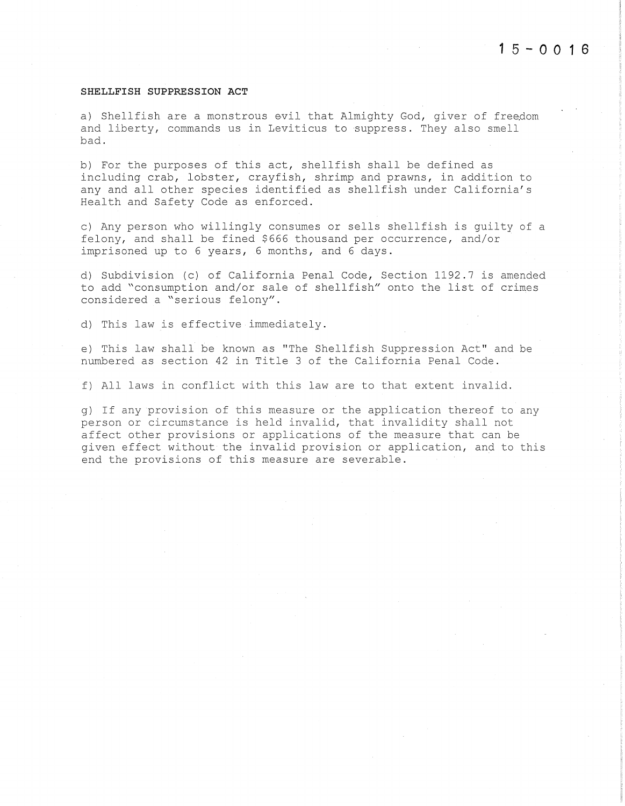## **SHELLFISH SUPPRESSION ACT**

a) Shellfish are a monstrous evil that Almighty God, giver of freedom and liberty, commands us in Leviticus to suppress. They also smell bad.

b) For the purposes of this act, shellfish shall be defined as including crab, lobster, crayfish, shrimp and prawns, in addition to any and all other species identified as shellfish under California's Health and Safety Code as enforced.

c) Any person who willingly consumes or sells shellfish is guilty of a felony, and shall be fined \$666 thousand per occurrence, and/or imprisoned up to 6 years, 6 months, and 6 days.

d) Subdivision (c) of California Penal Code, Section 1192.7 is amended to add "consumption and/or sale of shellfish" onto the list of crimes considered a "serious felony".

d) This law is effective immediately.

e) This law shall be known as "The Shellfish Suppression Act" and be numbered as section 42 in Title 3 of the California Penal Code.

f) All laws in conflict with this law are to that extent invalid.

g) If any provision of this measure or the application thereof to any person or circumstance is held invalid, that invalidity shall not affect other provisions or applications of the measure that can be given effect without the invalid provision or application, and to this end the provisions of this measure are severable.